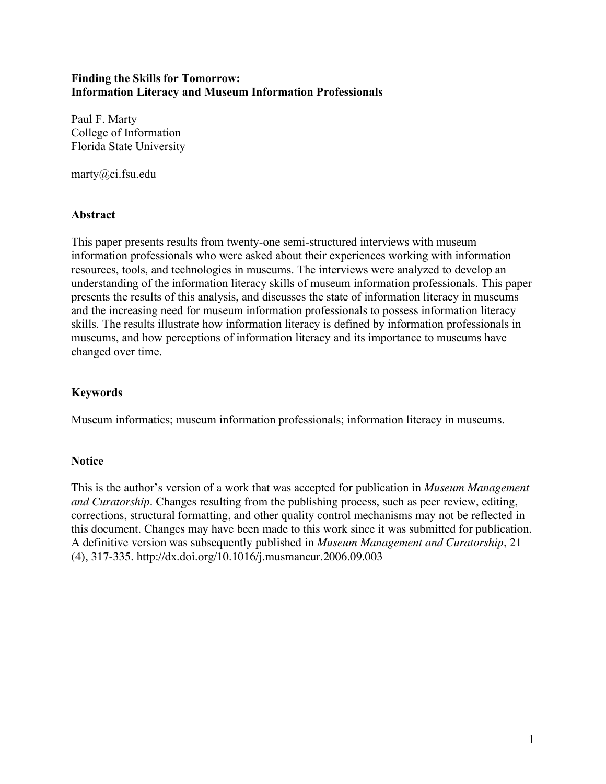## **Finding the Skills for Tomorrow: Information Literacy and Museum Information Professionals**

Paul F. Marty College of Information Florida State University

marty@ci.fsu.edu

## **Abstract**

This paper presents results from twenty-one semi-structured interviews with museum information professionals who were asked about their experiences working with information resources, tools, and technologies in museums. The interviews were analyzed to develop an understanding of the information literacy skills of museum information professionals. This paper presents the results of this analysis, and discusses the state of information literacy in museums and the increasing need for museum information professionals to possess information literacy skills. The results illustrate how information literacy is defined by information professionals in museums, and how perceptions of information literacy and its importance to museums have changed over time.

## **Keywords**

Museum informatics; museum information professionals; information literacy in museums.

#### **Notice**

This is the author's version of a work that was accepted for publication in *Museum Management and Curatorship*. Changes resulting from the publishing process, such as peer review, editing, corrections, structural formatting, and other quality control mechanisms may not be reflected in this document. Changes may have been made to this work since it was submitted for publication. A definitive version was subsequently published in *Museum Management and Curatorship*, 21 (4), 317-335. http://dx.doi.org/10.1016/j.musmancur.2006.09.003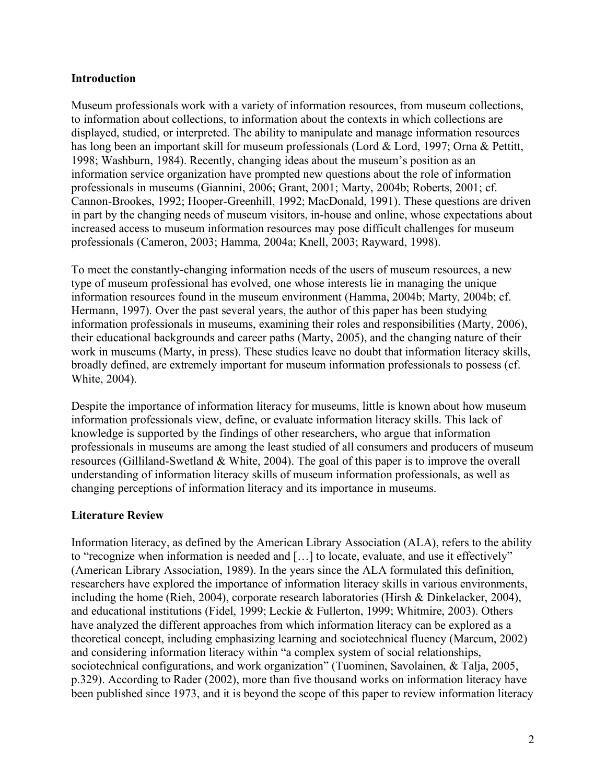## **Introduction**

Museum professionals work with a variety of information resources, from museum collections, to information about collections, to information about the contexts in which collections are displayed, studied, or interpreted. The ability to manipulate and manage information resources has long been an important skill for museum professionals (Lord & Lord, 1997; Orna & Pettitt, 1998; Washburn, 1984). Recently, changing ideas about the museum's position as an information service organization have prompted new questions about the role of information professionals in museums (Giannini, 2006; Grant, 2001; Marty, 2004b; Roberts, 2001; cf. Cannon-Brookes, 1992; Hooper-Greenhill, 1992; MacDonald, 1991). These questions are driven in part by the changing needs of museum visitors, in-house and online, whose expectations about increased access to museum information resources may pose difficult challenges for museum professionals (Cameron, 2003; Hamma, 2004a; Knell, 2003; Rayward, 1998).

To meet the constantly-changing information needs of the users of museum resources, a new type of museum professional has evolved, one whose interests lie in managing the unique information resources found in the museum environment (Hamma, 2004b; Marty, 2004b; cf. Hermann, 1997). Over the past several years, the author of this paper has been studying information professionals in museums, examining their roles and responsibilities (Marty, 2006), their educational backgrounds and career paths (Marty, 2005), and the changing nature of their work in museums (Marty, in press). These studies leave no doubt that information literacy skills, broadly defined, are extremely important for museum information professionals to possess (cf. White, 2004).

Despite the importance of information literacy for museums, little is known about how museum information professionals view, define, or evaluate information literacy skills. This lack of knowledge is supported by the findings of other researchers, who argue that information professionals in museums are among the least studied of all consumers and producers of museum resources (Gilliland-Swetland & White, 2004). The goal of this paper is to improve the overall understanding of information literacy skills of museum information professionals, as well as changing perceptions of information literacy and its importance in museums.

## **Literature Review**

Information literacy, as defined by the American Library Association (ALA), refers to the ability to "recognize when information is needed and […] to locate, evaluate, and use it effectively" (American Library Association, 1989). In the years since the ALA formulated this definition, researchers have explored the importance of information literacy skills in various environments, including the home (Rieh, 2004), corporate research laboratories (Hirsh & Dinkelacker, 2004), and educational institutions (Fidel, 1999; Leckie & Fullerton, 1999; Whitmire, 2003). Others have analyzed the different approaches from which information literacy can be explored as a theoretical concept, including emphasizing learning and sociotechnical fluency (Marcum, 2002) and considering information literacy within "a complex system of social relationships, sociotechnical configurations, and work organization" (Tuominen, Savolainen, & Talja, 2005, p.329). According to Rader (2002), more than five thousand works on information literacy have been published since 1973, and it is beyond the scope of this paper to review information literacy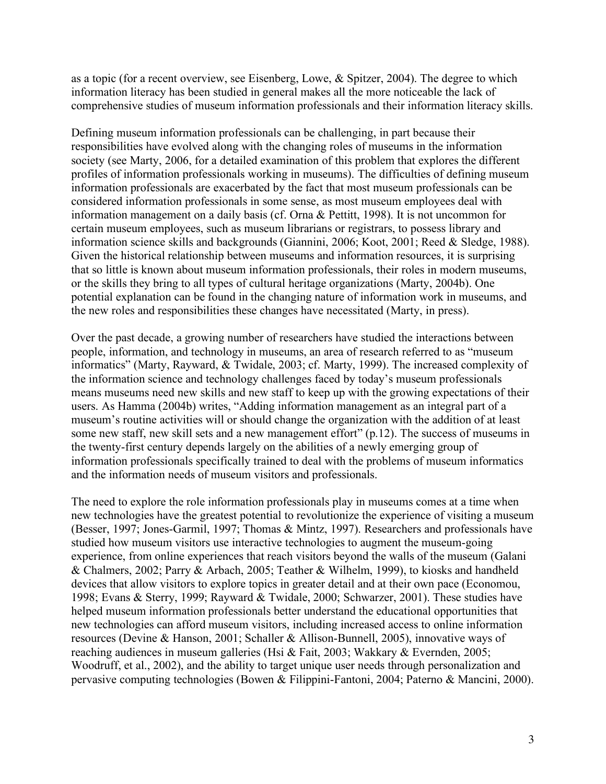as a topic (for a recent overview, see Eisenberg, Lowe, & Spitzer, 2004). The degree to which information literacy has been studied in general makes all the more noticeable the lack of comprehensive studies of museum information professionals and their information literacy skills.

Defining museum information professionals can be challenging, in part because their responsibilities have evolved along with the changing roles of museums in the information society (see Marty, 2006, for a detailed examination of this problem that explores the different profiles of information professionals working in museums). The difficulties of defining museum information professionals are exacerbated by the fact that most museum professionals can be considered information professionals in some sense, as most museum employees deal with information management on a daily basis (cf. Orna & Pettitt, 1998). It is not uncommon for certain museum employees, such as museum librarians or registrars, to possess library and information science skills and backgrounds (Giannini, 2006; Koot, 2001; Reed & Sledge, 1988). Given the historical relationship between museums and information resources, it is surprising that so little is known about museum information professionals, their roles in modern museums, or the skills they bring to all types of cultural heritage organizations (Marty, 2004b). One potential explanation can be found in the changing nature of information work in museums, and the new roles and responsibilities these changes have necessitated (Marty, in press).

Over the past decade, a growing number of researchers have studied the interactions between people, information, and technology in museums, an area of research referred to as "museum informatics" (Marty, Rayward, & Twidale, 2003; cf. Marty, 1999). The increased complexity of the information science and technology challenges faced by today's museum professionals means museums need new skills and new staff to keep up with the growing expectations of their users. As Hamma (2004b) writes, "Adding information management as an integral part of a museum's routine activities will or should change the organization with the addition of at least some new staff, new skill sets and a new management effort" (p.12). The success of museums in the twenty-first century depends largely on the abilities of a newly emerging group of information professionals specifically trained to deal with the problems of museum informatics and the information needs of museum visitors and professionals.

The need to explore the role information professionals play in museums comes at a time when new technologies have the greatest potential to revolutionize the experience of visiting a museum (Besser, 1997; Jones-Garmil, 1997; Thomas & Mintz, 1997). Researchers and professionals have studied how museum visitors use interactive technologies to augment the museum-going experience, from online experiences that reach visitors beyond the walls of the museum (Galani & Chalmers, 2002; Parry & Arbach, 2005; Teather & Wilhelm, 1999), to kiosks and handheld devices that allow visitors to explore topics in greater detail and at their own pace (Economou, 1998; Evans & Sterry, 1999; Rayward & Twidale, 2000; Schwarzer, 2001). These studies have helped museum information professionals better understand the educational opportunities that new technologies can afford museum visitors, including increased access to online information resources (Devine & Hanson, 2001; Schaller & Allison-Bunnell, 2005), innovative ways of reaching audiences in museum galleries (Hsi & Fait, 2003; Wakkary & Evernden, 2005; Woodruff, et al., 2002), and the ability to target unique user needs through personalization and pervasive computing technologies (Bowen & Filippini-Fantoni, 2004; Paterno & Mancini, 2000).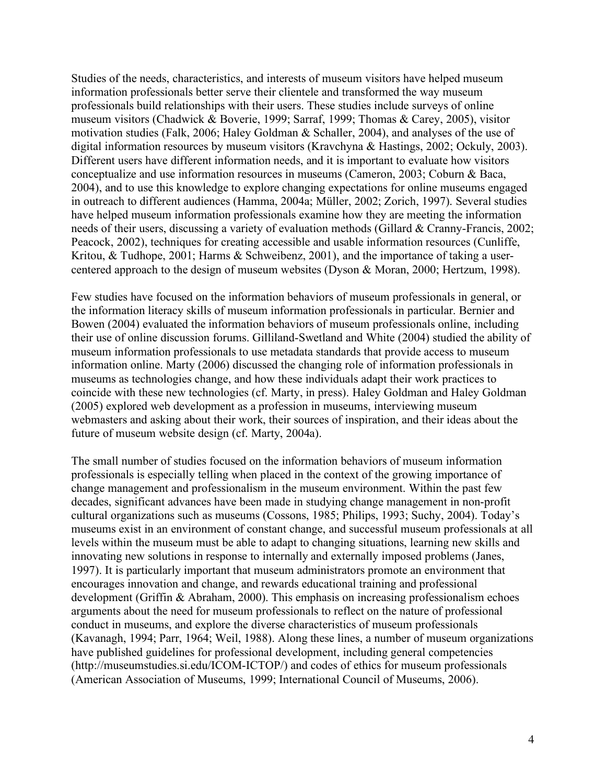Studies of the needs, characteristics, and interests of museum visitors have helped museum information professionals better serve their clientele and transformed the way museum professionals build relationships with their users. These studies include surveys of online museum visitors (Chadwick & Boverie, 1999; Sarraf, 1999; Thomas & Carey, 2005), visitor motivation studies (Falk, 2006; Haley Goldman & Schaller, 2004), and analyses of the use of digital information resources by museum visitors (Kravchyna & Hastings, 2002; Ockuly, 2003). Different users have different information needs, and it is important to evaluate how visitors conceptualize and use information resources in museums (Cameron, 2003; Coburn & Baca, 2004), and to use this knowledge to explore changing expectations for online museums engaged in outreach to different audiences (Hamma, 2004a; Müller, 2002; Zorich, 1997). Several studies have helped museum information professionals examine how they are meeting the information needs of their users, discussing a variety of evaluation methods (Gillard & Cranny-Francis, 2002; Peacock, 2002), techniques for creating accessible and usable information resources (Cunliffe, Kritou, & Tudhope, 2001; Harms & Schweibenz, 2001), and the importance of taking a usercentered approach to the design of museum websites (Dyson & Moran, 2000; Hertzum, 1998).

Few studies have focused on the information behaviors of museum professionals in general, or the information literacy skills of museum information professionals in particular. Bernier and Bowen (2004) evaluated the information behaviors of museum professionals online, including their use of online discussion forums. Gilliland-Swetland and White (2004) studied the ability of museum information professionals to use metadata standards that provide access to museum information online. Marty (2006) discussed the changing role of information professionals in museums as technologies change, and how these individuals adapt their work practices to coincide with these new technologies (cf. Marty, in press). Haley Goldman and Haley Goldman (2005) explored web development as a profession in museums, interviewing museum webmasters and asking about their work, their sources of inspiration, and their ideas about the future of museum website design (cf. Marty, 2004a).

The small number of studies focused on the information behaviors of museum information professionals is especially telling when placed in the context of the growing importance of change management and professionalism in the museum environment. Within the past few decades, significant advances have been made in studying change management in non-profit cultural organizations such as museums (Cossons, 1985; Philips, 1993; Suchy, 2004). Today's museums exist in an environment of constant change, and successful museum professionals at all levels within the museum must be able to adapt to changing situations, learning new skills and innovating new solutions in response to internally and externally imposed problems (Janes, 1997). It is particularly important that museum administrators promote an environment that encourages innovation and change, and rewards educational training and professional development (Griffin & Abraham, 2000). This emphasis on increasing professionalism echoes arguments about the need for museum professionals to reflect on the nature of professional conduct in museums, and explore the diverse characteristics of museum professionals (Kavanagh, 1994; Parr, 1964; Weil, 1988). Along these lines, a number of museum organizations have published guidelines for professional development, including general competencies (http://museumstudies.si.edu/ICOM-ICTOP/) and codes of ethics for museum professionals (American Association of Museums, 1999; International Council of Museums, 2006).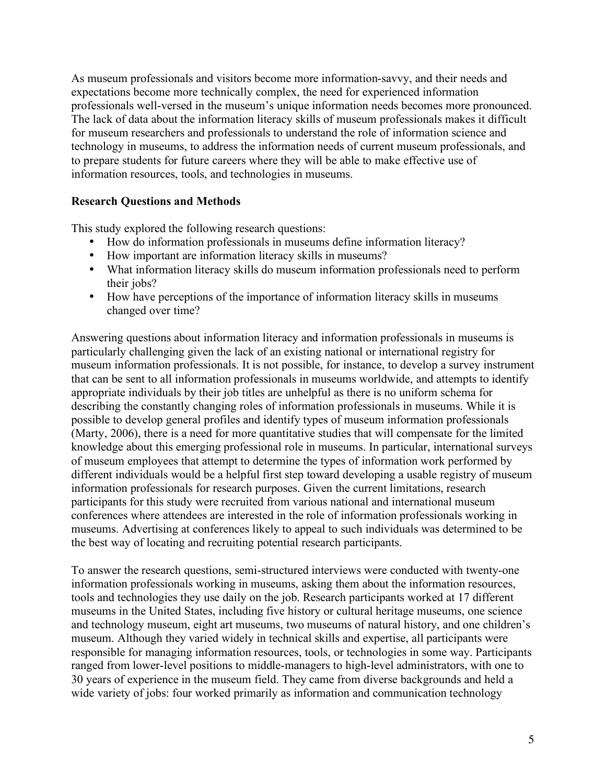As museum professionals and visitors become more information-savvy, and their needs and expectations become more technically complex, the need for experienced information professionals well-versed in the museum's unique information needs becomes more pronounced. The lack of data about the information literacy skills of museum professionals makes it difficult for museum researchers and professionals to understand the role of information science and technology in museums, to address the information needs of current museum professionals, and to prepare students for future careers where they will be able to make effective use of information resources, tools, and technologies in museums.

## **Research Questions and Methods**

This study explored the following research questions:

- How do information professionals in museums define information literacy?
- How important are information literacy skills in museums?
- What information literacy skills do museum information professionals need to perform their jobs?
- How have perceptions of the importance of information literacy skills in museums changed over time?

Answering questions about information literacy and information professionals in museums is particularly challenging given the lack of an existing national or international registry for museum information professionals. It is not possible, for instance, to develop a survey instrument that can be sent to all information professionals in museums worldwide, and attempts to identify appropriate individuals by their job titles are unhelpful as there is no uniform schema for describing the constantly changing roles of information professionals in museums. While it is possible to develop general profiles and identify types of museum information professionals (Marty, 2006), there is a need for more quantitative studies that will compensate for the limited knowledge about this emerging professional role in museums. In particular, international surveys of museum employees that attempt to determine the types of information work performed by different individuals would be a helpful first step toward developing a usable registry of museum information professionals for research purposes. Given the current limitations, research participants for this study were recruited from various national and international museum conferences where attendees are interested in the role of information professionals working in museums. Advertising at conferences likely to appeal to such individuals was determined to be the best way of locating and recruiting potential research participants.

To answer the research questions, semi-structured interviews were conducted with twenty-one information professionals working in museums, asking them about the information resources, tools and technologies they use daily on the job. Research participants worked at 17 different museums in the United States, including five history or cultural heritage museums, one science and technology museum, eight art museums, two museums of natural history, and one children's museum. Although they varied widely in technical skills and expertise, all participants were responsible for managing information resources, tools, or technologies in some way. Participants ranged from lower-level positions to middle-managers to high-level administrators, with one to 30 years of experience in the museum field. They came from diverse backgrounds and held a wide variety of jobs: four worked primarily as information and communication technology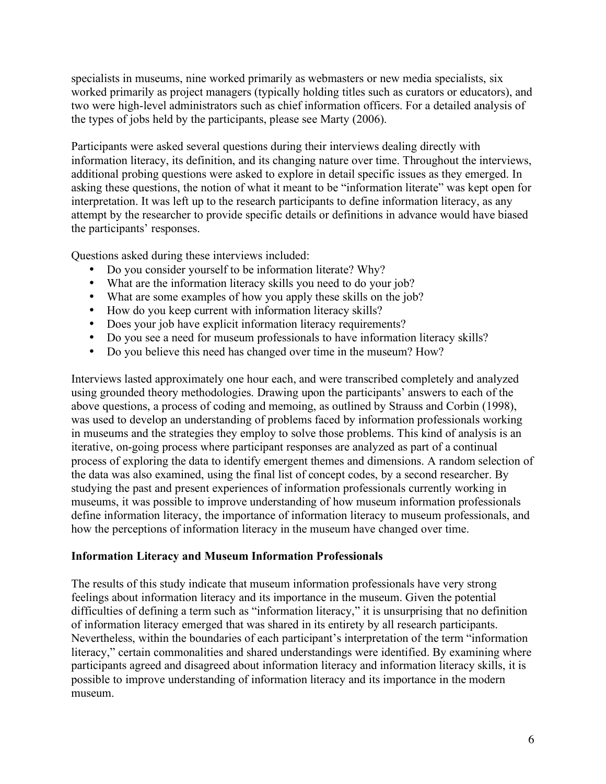specialists in museums, nine worked primarily as webmasters or new media specialists, six worked primarily as project managers (typically holding titles such as curators or educators), and two were high-level administrators such as chief information officers. For a detailed analysis of the types of jobs held by the participants, please see Marty (2006).

Participants were asked several questions during their interviews dealing directly with information literacy, its definition, and its changing nature over time. Throughout the interviews, additional probing questions were asked to explore in detail specific issues as they emerged. In asking these questions, the notion of what it meant to be "information literate" was kept open for interpretation. It was left up to the research participants to define information literacy, as any attempt by the researcher to provide specific details or definitions in advance would have biased the participants' responses.

Questions asked during these interviews included:

- Do you consider yourself to be information literate? Why?
- What are the information literacy skills you need to do your job?
- What are some examples of how you apply these skills on the job?
- How do you keep current with information literacy skills?
- Does your job have explicit information literacy requirements?<br>• Do you see a need for museum professionals to have information
- Do you see a need for museum professionals to have information literacy skills?
- Do you believe this need has changed over time in the museum? How?

Interviews lasted approximately one hour each, and were transcribed completely and analyzed using grounded theory methodologies. Drawing upon the participants' answers to each of the above questions, a process of coding and memoing, as outlined by Strauss and Corbin (1998), was used to develop an understanding of problems faced by information professionals working in museums and the strategies they employ to solve those problems. This kind of analysis is an iterative, on-going process where participant responses are analyzed as part of a continual process of exploring the data to identify emergent themes and dimensions. A random selection of the data was also examined, using the final list of concept codes, by a second researcher. By studying the past and present experiences of information professionals currently working in museums, it was possible to improve understanding of how museum information professionals define information literacy, the importance of information literacy to museum professionals, and how the perceptions of information literacy in the museum have changed over time.

#### **Information Literacy and Museum Information Professionals**

The results of this study indicate that museum information professionals have very strong feelings about information literacy and its importance in the museum. Given the potential difficulties of defining a term such as "information literacy," it is unsurprising that no definition of information literacy emerged that was shared in its entirety by all research participants. Nevertheless, within the boundaries of each participant's interpretation of the term "information literacy," certain commonalities and shared understandings were identified. By examining where participants agreed and disagreed about information literacy and information literacy skills, it is possible to improve understanding of information literacy and its importance in the modern museum.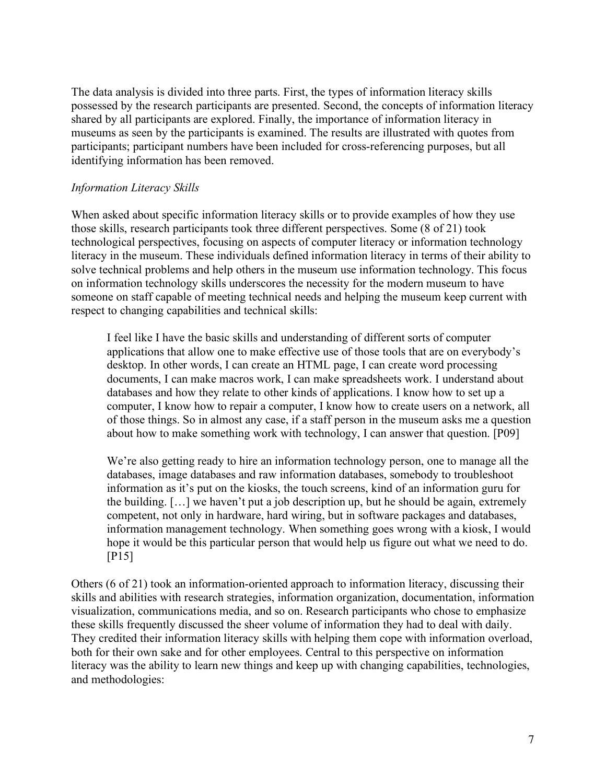The data analysis is divided into three parts. First, the types of information literacy skills possessed by the research participants are presented. Second, the concepts of information literacy shared by all participants are explored. Finally, the importance of information literacy in museums as seen by the participants is examined. The results are illustrated with quotes from participants; participant numbers have been included for cross-referencing purposes, but all identifying information has been removed.

## *Information Literacy Skills*

When asked about specific information literacy skills or to provide examples of how they use those skills, research participants took three different perspectives. Some (8 of 21) took technological perspectives, focusing on aspects of computer literacy or information technology literacy in the museum. These individuals defined information literacy in terms of their ability to solve technical problems and help others in the museum use information technology. This focus on information technology skills underscores the necessity for the modern museum to have someone on staff capable of meeting technical needs and helping the museum keep current with respect to changing capabilities and technical skills:

I feel like I have the basic skills and understanding of different sorts of computer applications that allow one to make effective use of those tools that are on everybody's desktop. In other words, I can create an HTML page, I can create word processing documents, I can make macros work, I can make spreadsheets work. I understand about databases and how they relate to other kinds of applications. I know how to set up a computer, I know how to repair a computer, I know how to create users on a network, all of those things. So in almost any case, if a staff person in the museum asks me a question about how to make something work with technology, I can answer that question. [P09]

We're also getting ready to hire an information technology person, one to manage all the databases, image databases and raw information databases, somebody to troubleshoot information as it's put on the kiosks, the touch screens, kind of an information guru for the building. […] we haven't put a job description up, but he should be again, extremely competent, not only in hardware, hard wiring, but in software packages and databases, information management technology. When something goes wrong with a kiosk, I would hope it would be this particular person that would help us figure out what we need to do. [P15]

Others (6 of 21) took an information-oriented approach to information literacy, discussing their skills and abilities with research strategies, information organization, documentation, information visualization, communications media, and so on. Research participants who chose to emphasize these skills frequently discussed the sheer volume of information they had to deal with daily. They credited their information literacy skills with helping them cope with information overload, both for their own sake and for other employees. Central to this perspective on information literacy was the ability to learn new things and keep up with changing capabilities, technologies, and methodologies: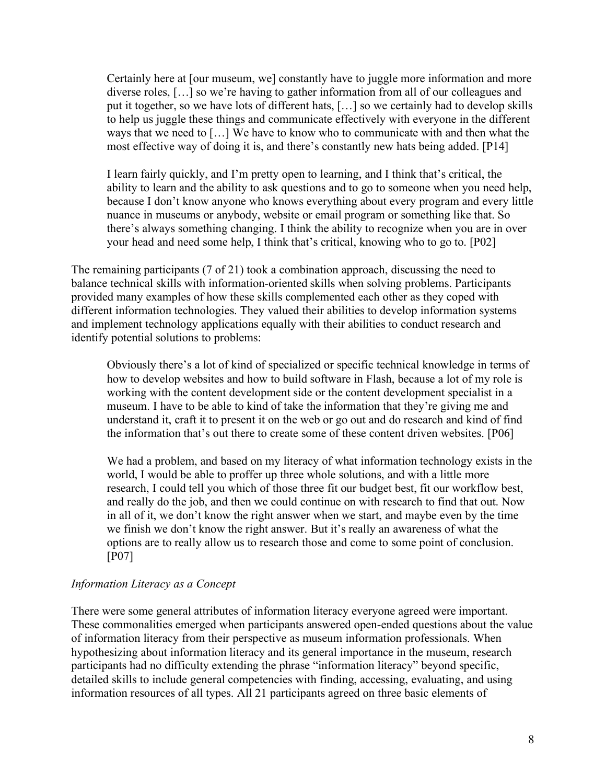Certainly here at [our museum, we] constantly have to juggle more information and more diverse roles, […] so we're having to gather information from all of our colleagues and put it together, so we have lots of different hats, […] so we certainly had to develop skills to help us juggle these things and communicate effectively with everyone in the different ways that we need to […] We have to know who to communicate with and then what the most effective way of doing it is, and there's constantly new hats being added. [P14]

I learn fairly quickly, and I'm pretty open to learning, and I think that's critical, the ability to learn and the ability to ask questions and to go to someone when you need help, because I don't know anyone who knows everything about every program and every little nuance in museums or anybody, website or email program or something like that. So there's always something changing. I think the ability to recognize when you are in over your head and need some help, I think that's critical, knowing who to go to. [P02]

The remaining participants (7 of 21) took a combination approach, discussing the need to balance technical skills with information-oriented skills when solving problems. Participants provided many examples of how these skills complemented each other as they coped with different information technologies. They valued their abilities to develop information systems and implement technology applications equally with their abilities to conduct research and identify potential solutions to problems:

Obviously there's a lot of kind of specialized or specific technical knowledge in terms of how to develop websites and how to build software in Flash, because a lot of my role is working with the content development side or the content development specialist in a museum. I have to be able to kind of take the information that they're giving me and understand it, craft it to present it on the web or go out and do research and kind of find the information that's out there to create some of these content driven websites. [P06]

We had a problem, and based on my literacy of what information technology exists in the world, I would be able to proffer up three whole solutions, and with a little more research, I could tell you which of those three fit our budget best, fit our workflow best, and really do the job, and then we could continue on with research to find that out. Now in all of it, we don't know the right answer when we start, and maybe even by the time we finish we don't know the right answer. But it's really an awareness of what the options are to really allow us to research those and come to some point of conclusion. [P07]

#### *Information Literacy as a Concept*

There were some general attributes of information literacy everyone agreed were important. These commonalities emerged when participants answered open-ended questions about the value of information literacy from their perspective as museum information professionals. When hypothesizing about information literacy and its general importance in the museum, research participants had no difficulty extending the phrase "information literacy" beyond specific, detailed skills to include general competencies with finding, accessing, evaluating, and using information resources of all types. All 21 participants agreed on three basic elements of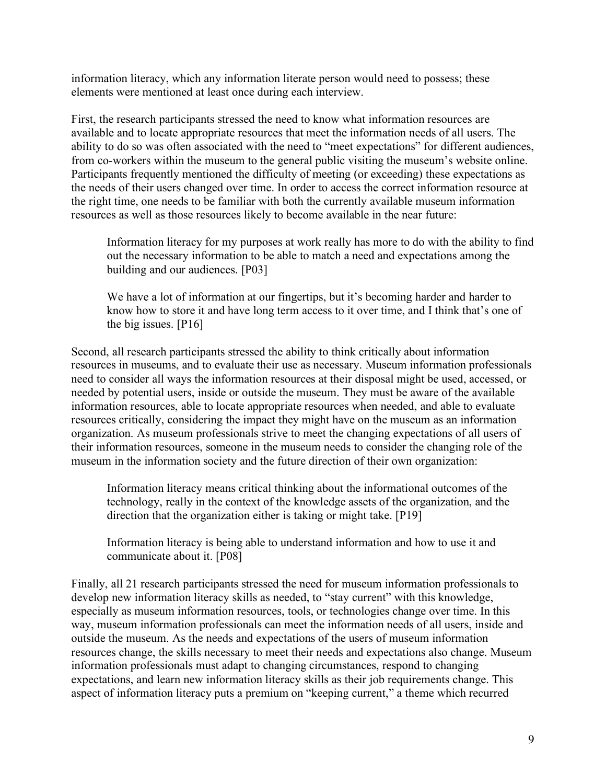information literacy, which any information literate person would need to possess; these elements were mentioned at least once during each interview.

First, the research participants stressed the need to know what information resources are available and to locate appropriate resources that meet the information needs of all users. The ability to do so was often associated with the need to "meet expectations" for different audiences, from co-workers within the museum to the general public visiting the museum's website online. Participants frequently mentioned the difficulty of meeting (or exceeding) these expectations as the needs of their users changed over time. In order to access the correct information resource at the right time, one needs to be familiar with both the currently available museum information resources as well as those resources likely to become available in the near future:

Information literacy for my purposes at work really has more to do with the ability to find out the necessary information to be able to match a need and expectations among the building and our audiences. [P03]

We have a lot of information at our fingertips, but it's becoming harder and harder to know how to store it and have long term access to it over time, and I think that's one of the big issues. [P16]

Second, all research participants stressed the ability to think critically about information resources in museums, and to evaluate their use as necessary. Museum information professionals need to consider all ways the information resources at their disposal might be used, accessed, or needed by potential users, inside or outside the museum. They must be aware of the available information resources, able to locate appropriate resources when needed, and able to evaluate resources critically, considering the impact they might have on the museum as an information organization. As museum professionals strive to meet the changing expectations of all users of their information resources, someone in the museum needs to consider the changing role of the museum in the information society and the future direction of their own organization:

Information literacy means critical thinking about the informational outcomes of the technology, really in the context of the knowledge assets of the organization, and the direction that the organization either is taking or might take. [P19]

Information literacy is being able to understand information and how to use it and communicate about it. [P08]

Finally, all 21 research participants stressed the need for museum information professionals to develop new information literacy skills as needed, to "stay current" with this knowledge, especially as museum information resources, tools, or technologies change over time. In this way, museum information professionals can meet the information needs of all users, inside and outside the museum. As the needs and expectations of the users of museum information resources change, the skills necessary to meet their needs and expectations also change. Museum information professionals must adapt to changing circumstances, respond to changing expectations, and learn new information literacy skills as their job requirements change. This aspect of information literacy puts a premium on "keeping current," a theme which recurred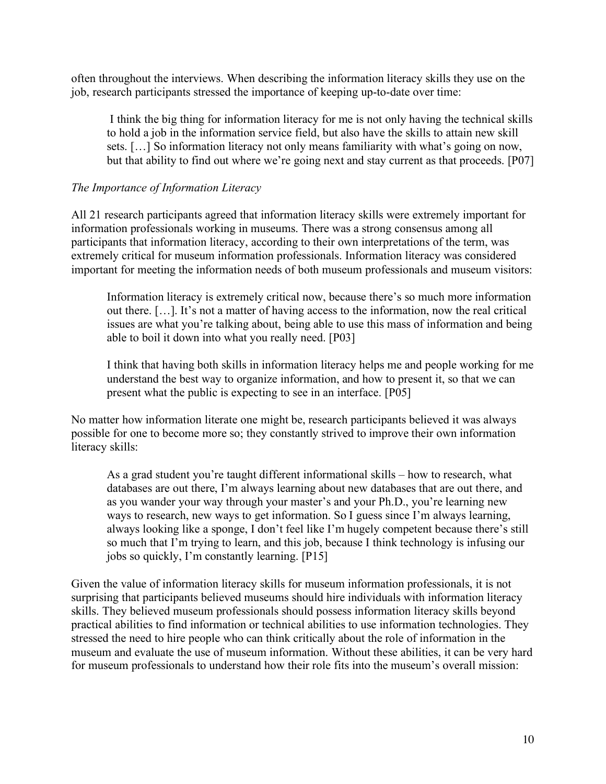often throughout the interviews. When describing the information literacy skills they use on the job, research participants stressed the importance of keeping up-to-date over time:

I think the big thing for information literacy for me is not only having the technical skills to hold a job in the information service field, but also have the skills to attain new skill sets. […] So information literacy not only means familiarity with what's going on now, but that ability to find out where we're going next and stay current as that proceeds. [P07]

## *The Importance of Information Literacy*

All 21 research participants agreed that information literacy skills were extremely important for information professionals working in museums. There was a strong consensus among all participants that information literacy, according to their own interpretations of the term, was extremely critical for museum information professionals. Information literacy was considered important for meeting the information needs of both museum professionals and museum visitors:

Information literacy is extremely critical now, because there's so much more information out there. […]. It's not a matter of having access to the information, now the real critical issues are what you're talking about, being able to use this mass of information and being able to boil it down into what you really need. [P03]

I think that having both skills in information literacy helps me and people working for me understand the best way to organize information, and how to present it, so that we can present what the public is expecting to see in an interface. [P05]

No matter how information literate one might be, research participants believed it was always possible for one to become more so; they constantly strived to improve their own information literacy skills:

As a grad student you're taught different informational skills – how to research, what databases are out there, I'm always learning about new databases that are out there, and as you wander your way through your master's and your Ph.D., you're learning new ways to research, new ways to get information. So I guess since I'm always learning, always looking like a sponge, I don't feel like I'm hugely competent because there's still so much that I'm trying to learn, and this job, because I think technology is infusing our jobs so quickly, I'm constantly learning. [P15]

Given the value of information literacy skills for museum information professionals, it is not surprising that participants believed museums should hire individuals with information literacy skills. They believed museum professionals should possess information literacy skills beyond practical abilities to find information or technical abilities to use information technologies. They stressed the need to hire people who can think critically about the role of information in the museum and evaluate the use of museum information. Without these abilities, it can be very hard for museum professionals to understand how their role fits into the museum's overall mission: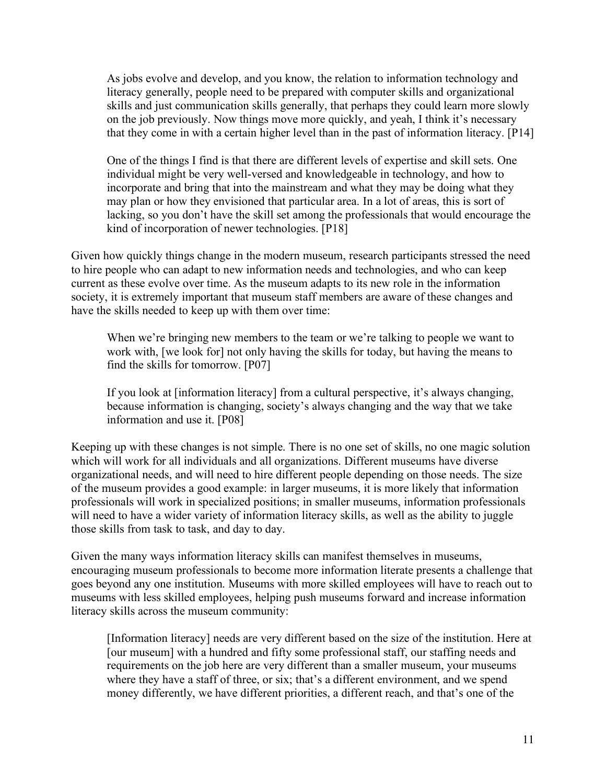As jobs evolve and develop, and you know, the relation to information technology and literacy generally, people need to be prepared with computer skills and organizational skills and just communication skills generally, that perhaps they could learn more slowly on the job previously. Now things move more quickly, and yeah, I think it's necessary that they come in with a certain higher level than in the past of information literacy. [P14]

One of the things I find is that there are different levels of expertise and skill sets. One individual might be very well-versed and knowledgeable in technology, and how to incorporate and bring that into the mainstream and what they may be doing what they may plan or how they envisioned that particular area. In a lot of areas, this is sort of lacking, so you don't have the skill set among the professionals that would encourage the kind of incorporation of newer technologies. [P18]

Given how quickly things change in the modern museum, research participants stressed the need to hire people who can adapt to new information needs and technologies, and who can keep current as these evolve over time. As the museum adapts to its new role in the information society, it is extremely important that museum staff members are aware of these changes and have the skills needed to keep up with them over time:

When we're bringing new members to the team or we're talking to people we want to work with, [we look for] not only having the skills for today, but having the means to find the skills for tomorrow. [P07]

If you look at [information literacy] from a cultural perspective, it's always changing, because information is changing, society's always changing and the way that we take information and use it. [P08]

Keeping up with these changes is not simple. There is no one set of skills, no one magic solution which will work for all individuals and all organizations. Different museums have diverse organizational needs, and will need to hire different people depending on those needs. The size of the museum provides a good example: in larger museums, it is more likely that information professionals will work in specialized positions; in smaller museums, information professionals will need to have a wider variety of information literacy skills, as well as the ability to juggle those skills from task to task, and day to day.

Given the many ways information literacy skills can manifest themselves in museums, encouraging museum professionals to become more information literate presents a challenge that goes beyond any one institution. Museums with more skilled employees will have to reach out to museums with less skilled employees, helping push museums forward and increase information literacy skills across the museum community:

[Information literacy] needs are very different based on the size of the institution. Here at [our museum] with a hundred and fifty some professional staff, our staffing needs and requirements on the job here are very different than a smaller museum, your museums where they have a staff of three, or six; that's a different environment, and we spend money differently, we have different priorities, a different reach, and that's one of the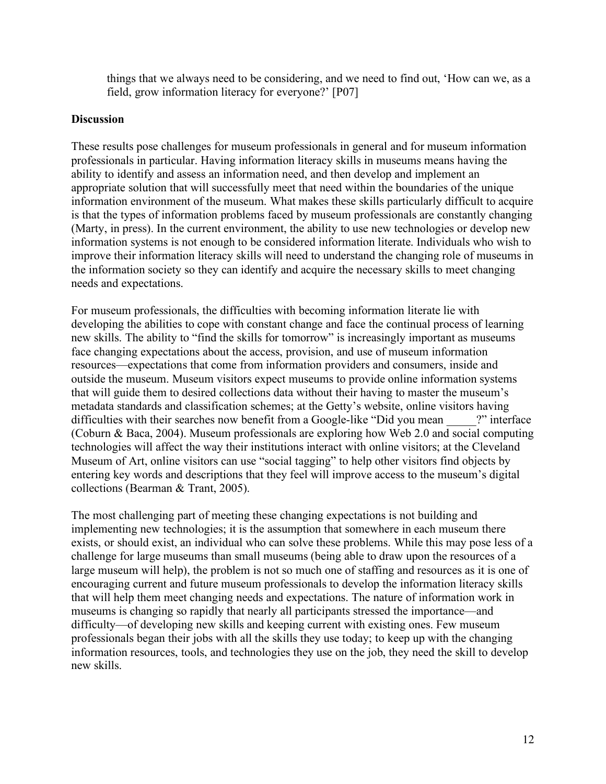things that we always need to be considering, and we need to find out, 'How can we, as a field, grow information literacy for everyone?' [P07]

## **Discussion**

These results pose challenges for museum professionals in general and for museum information professionals in particular. Having information literacy skills in museums means having the ability to identify and assess an information need, and then develop and implement an appropriate solution that will successfully meet that need within the boundaries of the unique information environment of the museum. What makes these skills particularly difficult to acquire is that the types of information problems faced by museum professionals are constantly changing (Marty, in press). In the current environment, the ability to use new technologies or develop new information systems is not enough to be considered information literate. Individuals who wish to improve their information literacy skills will need to understand the changing role of museums in the information society so they can identify and acquire the necessary skills to meet changing needs and expectations.

For museum professionals, the difficulties with becoming information literate lie with developing the abilities to cope with constant change and face the continual process of learning new skills. The ability to "find the skills for tomorrow" is increasingly important as museums face changing expectations about the access, provision, and use of museum information resources—expectations that come from information providers and consumers, inside and outside the museum. Museum visitors expect museums to provide online information systems that will guide them to desired collections data without their having to master the museum's metadata standards and classification schemes; at the Getty's website, online visitors having difficulties with their searches now benefit from a Google-like "Did you mean ?" interface (Coburn & Baca, 2004). Museum professionals are exploring how Web 2.0 and social computing technologies will affect the way their institutions interact with online visitors; at the Cleveland Museum of Art, online visitors can use "social tagging" to help other visitors find objects by entering key words and descriptions that they feel will improve access to the museum's digital collections (Bearman & Trant, 2005).

The most challenging part of meeting these changing expectations is not building and implementing new technologies; it is the assumption that somewhere in each museum there exists, or should exist, an individual who can solve these problems. While this may pose less of a challenge for large museums than small museums (being able to draw upon the resources of a large museum will help), the problem is not so much one of staffing and resources as it is one of encouraging current and future museum professionals to develop the information literacy skills that will help them meet changing needs and expectations. The nature of information work in museums is changing so rapidly that nearly all participants stressed the importance—and difficulty—of developing new skills and keeping current with existing ones. Few museum professionals began their jobs with all the skills they use today; to keep up with the changing information resources, tools, and technologies they use on the job, they need the skill to develop new skills.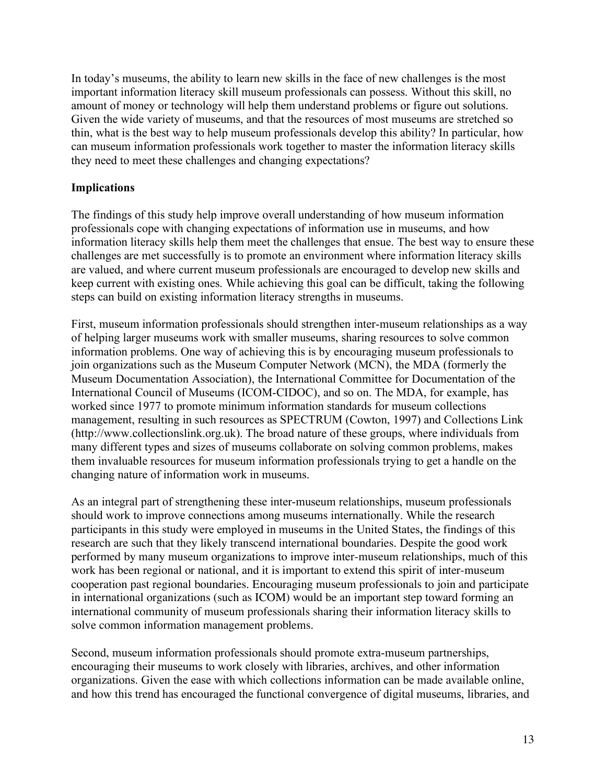In today's museums, the ability to learn new skills in the face of new challenges is the most important information literacy skill museum professionals can possess. Without this skill, no amount of money or technology will help them understand problems or figure out solutions. Given the wide variety of museums, and that the resources of most museums are stretched so thin, what is the best way to help museum professionals develop this ability? In particular, how can museum information professionals work together to master the information literacy skills they need to meet these challenges and changing expectations?

## **Implications**

The findings of this study help improve overall understanding of how museum information professionals cope with changing expectations of information use in museums, and how information literacy skills help them meet the challenges that ensue. The best way to ensure these challenges are met successfully is to promote an environment where information literacy skills are valued, and where current museum professionals are encouraged to develop new skills and keep current with existing ones. While achieving this goal can be difficult, taking the following steps can build on existing information literacy strengths in museums.

First, museum information professionals should strengthen inter-museum relationships as a way of helping larger museums work with smaller museums, sharing resources to solve common information problems. One way of achieving this is by encouraging museum professionals to join organizations such as the Museum Computer Network (MCN), the MDA (formerly the Museum Documentation Association), the International Committee for Documentation of the International Council of Museums (ICOM-CIDOC), and so on. The MDA, for example, has worked since 1977 to promote minimum information standards for museum collections management, resulting in such resources as SPECTRUM (Cowton, 1997) and Collections Link (http://www.collectionslink.org.uk). The broad nature of these groups, where individuals from many different types and sizes of museums collaborate on solving common problems, makes them invaluable resources for museum information professionals trying to get a handle on the changing nature of information work in museums.

As an integral part of strengthening these inter-museum relationships, museum professionals should work to improve connections among museums internationally. While the research participants in this study were employed in museums in the United States, the findings of this research are such that they likely transcend international boundaries. Despite the good work performed by many museum organizations to improve inter-museum relationships, much of this work has been regional or national, and it is important to extend this spirit of inter-museum cooperation past regional boundaries. Encouraging museum professionals to join and participate in international organizations (such as ICOM) would be an important step toward forming an international community of museum professionals sharing their information literacy skills to solve common information management problems.

Second, museum information professionals should promote extra-museum partnerships, encouraging their museums to work closely with libraries, archives, and other information organizations. Given the ease with which collections information can be made available online, and how this trend has encouraged the functional convergence of digital museums, libraries, and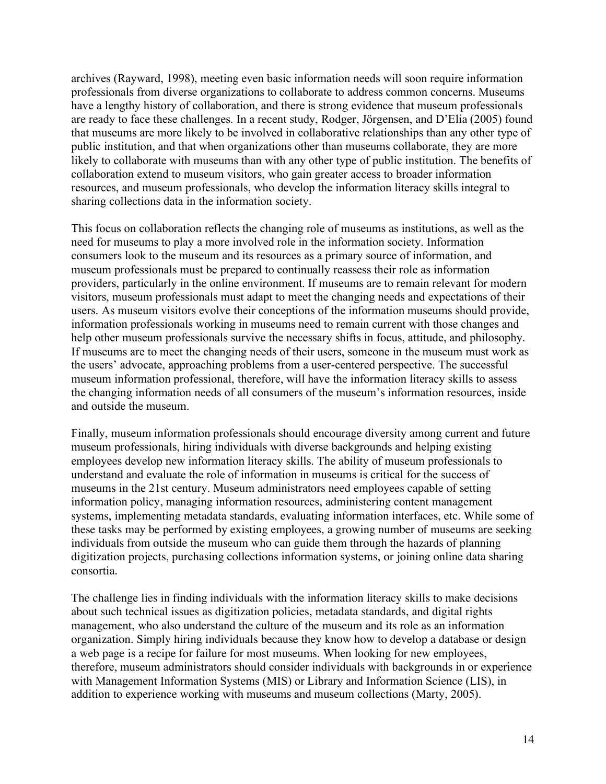archives (Rayward, 1998), meeting even basic information needs will soon require information professionals from diverse organizations to collaborate to address common concerns. Museums have a lengthy history of collaboration, and there is strong evidence that museum professionals are ready to face these challenges. In a recent study, Rodger, Jörgensen, and D'Elia (2005) found that museums are more likely to be involved in collaborative relationships than any other type of public institution, and that when organizations other than museums collaborate, they are more likely to collaborate with museums than with any other type of public institution. The benefits of collaboration extend to museum visitors, who gain greater access to broader information resources, and museum professionals, who develop the information literacy skills integral to sharing collections data in the information society.

This focus on collaboration reflects the changing role of museums as institutions, as well as the need for museums to play a more involved role in the information society. Information consumers look to the museum and its resources as a primary source of information, and museum professionals must be prepared to continually reassess their role as information providers, particularly in the online environment. If museums are to remain relevant for modern visitors, museum professionals must adapt to meet the changing needs and expectations of their users. As museum visitors evolve their conceptions of the information museums should provide, information professionals working in museums need to remain current with those changes and help other museum professionals survive the necessary shifts in focus, attitude, and philosophy. If museums are to meet the changing needs of their users, someone in the museum must work as the users' advocate, approaching problems from a user-centered perspective. The successful museum information professional, therefore, will have the information literacy skills to assess the changing information needs of all consumers of the museum's information resources, inside and outside the museum.

Finally, museum information professionals should encourage diversity among current and future museum professionals, hiring individuals with diverse backgrounds and helping existing employees develop new information literacy skills. The ability of museum professionals to understand and evaluate the role of information in museums is critical for the success of museums in the 21st century. Museum administrators need employees capable of setting information policy, managing information resources, administering content management systems, implementing metadata standards, evaluating information interfaces, etc. While some of these tasks may be performed by existing employees, a growing number of museums are seeking individuals from outside the museum who can guide them through the hazards of planning digitization projects, purchasing collections information systems, or joining online data sharing consortia.

The challenge lies in finding individuals with the information literacy skills to make decisions about such technical issues as digitization policies, metadata standards, and digital rights management, who also understand the culture of the museum and its role as an information organization. Simply hiring individuals because they know how to develop a database or design a web page is a recipe for failure for most museums. When looking for new employees, therefore, museum administrators should consider individuals with backgrounds in or experience with Management Information Systems (MIS) or Library and Information Science (LIS), in addition to experience working with museums and museum collections (Marty, 2005).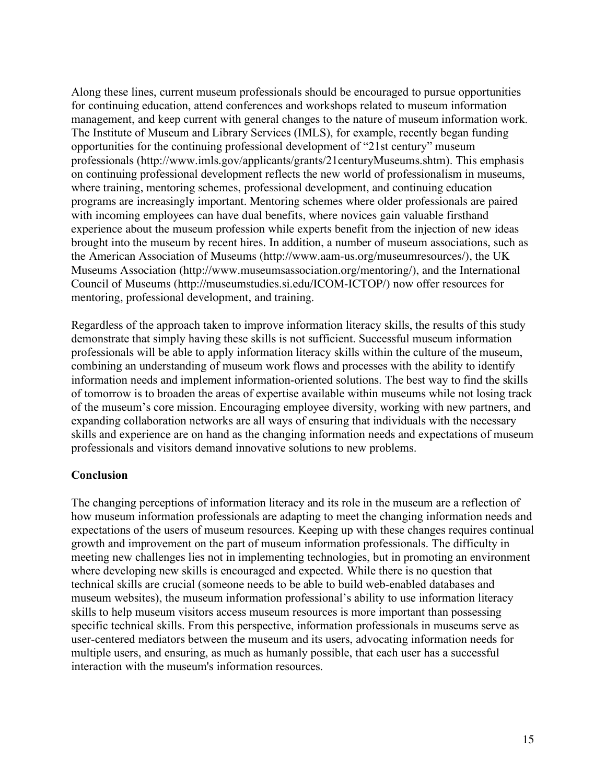Along these lines, current museum professionals should be encouraged to pursue opportunities for continuing education, attend conferences and workshops related to museum information management, and keep current with general changes to the nature of museum information work. The Institute of Museum and Library Services (IMLS), for example, recently began funding opportunities for the continuing professional development of "21st century" museum professionals (http://www.imls.gov/applicants/grants/21centuryMuseums.shtm). This emphasis on continuing professional development reflects the new world of professionalism in museums, where training, mentoring schemes, professional development, and continuing education programs are increasingly important. Mentoring schemes where older professionals are paired with incoming employees can have dual benefits, where novices gain valuable firsthand experience about the museum profession while experts benefit from the injection of new ideas brought into the museum by recent hires. In addition, a number of museum associations, such as the American Association of Museums (http://www.aam-us.org/museumresources/), the UK Museums Association (http://www.museumsassociation.org/mentoring/), and the International Council of Museums (http://museumstudies.si.edu/ICOM-ICTOP/) now offer resources for mentoring, professional development, and training.

Regardless of the approach taken to improve information literacy skills, the results of this study demonstrate that simply having these skills is not sufficient. Successful museum information professionals will be able to apply information literacy skills within the culture of the museum, combining an understanding of museum work flows and processes with the ability to identify information needs and implement information-oriented solutions. The best way to find the skills of tomorrow is to broaden the areas of expertise available within museums while not losing track of the museum's core mission. Encouraging employee diversity, working with new partners, and expanding collaboration networks are all ways of ensuring that individuals with the necessary skills and experience are on hand as the changing information needs and expectations of museum professionals and visitors demand innovative solutions to new problems.

#### **Conclusion**

The changing perceptions of information literacy and its role in the museum are a reflection of how museum information professionals are adapting to meet the changing information needs and expectations of the users of museum resources. Keeping up with these changes requires continual growth and improvement on the part of museum information professionals. The difficulty in meeting new challenges lies not in implementing technologies, but in promoting an environment where developing new skills is encouraged and expected. While there is no question that technical skills are crucial (someone needs to be able to build web-enabled databases and museum websites), the museum information professional's ability to use information literacy skills to help museum visitors access museum resources is more important than possessing specific technical skills. From this perspective, information professionals in museums serve as user-centered mediators between the museum and its users, advocating information needs for multiple users, and ensuring, as much as humanly possible, that each user has a successful interaction with the museum's information resources.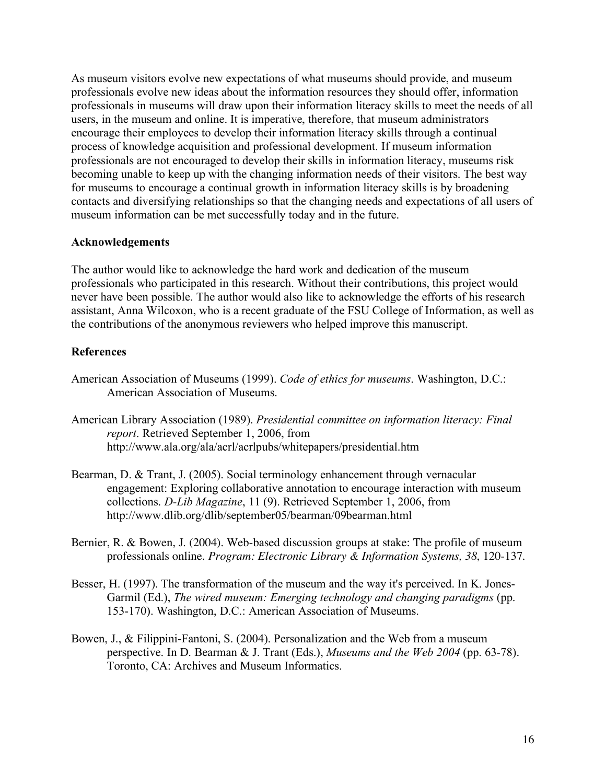As museum visitors evolve new expectations of what museums should provide, and museum professionals evolve new ideas about the information resources they should offer, information professionals in museums will draw upon their information literacy skills to meet the needs of all users, in the museum and online. It is imperative, therefore, that museum administrators encourage their employees to develop their information literacy skills through a continual process of knowledge acquisition and professional development. If museum information professionals are not encouraged to develop their skills in information literacy, museums risk becoming unable to keep up with the changing information needs of their visitors. The best way for museums to encourage a continual growth in information literacy skills is by broadening contacts and diversifying relationships so that the changing needs and expectations of all users of museum information can be met successfully today and in the future.

## **Acknowledgements**

The author would like to acknowledge the hard work and dedication of the museum professionals who participated in this research. Without their contributions, this project would never have been possible. The author would also like to acknowledge the efforts of his research assistant, Anna Wilcoxon, who is a recent graduate of the FSU College of Information, as well as the contributions of the anonymous reviewers who helped improve this manuscript.

# **References**

- American Association of Museums (1999). *Code of ethics for museums*. Washington, D.C.: American Association of Museums.
- American Library Association (1989). *Presidential committee on information literacy: Final report*. Retrieved September 1, 2006, from http://www.ala.org/ala/acrl/acrlpubs/whitepapers/presidential.htm
- Bearman, D. & Trant, J. (2005). Social terminology enhancement through vernacular engagement: Exploring collaborative annotation to encourage interaction with museum collections. *D-Lib Magazine*, 11 (9). Retrieved September 1, 2006, from http://www.dlib.org/dlib/september05/bearman/09bearman.html
- Bernier, R. & Bowen, J. (2004). Web-based discussion groups at stake: The profile of museum professionals online. *Program: Electronic Library & Information Systems, 38*, 120-137.
- Besser, H. (1997). The transformation of the museum and the way it's perceived. In K. Jones-Garmil (Ed.), *The wired museum: Emerging technology and changing paradigms* (pp. 153-170). Washington, D.C.: American Association of Museums.
- Bowen, J., & Filippini-Fantoni, S. (2004). Personalization and the Web from a museum perspective. In D. Bearman & J. Trant (Eds.), *Museums and the Web 2004* (pp. 63-78). Toronto, CA: Archives and Museum Informatics.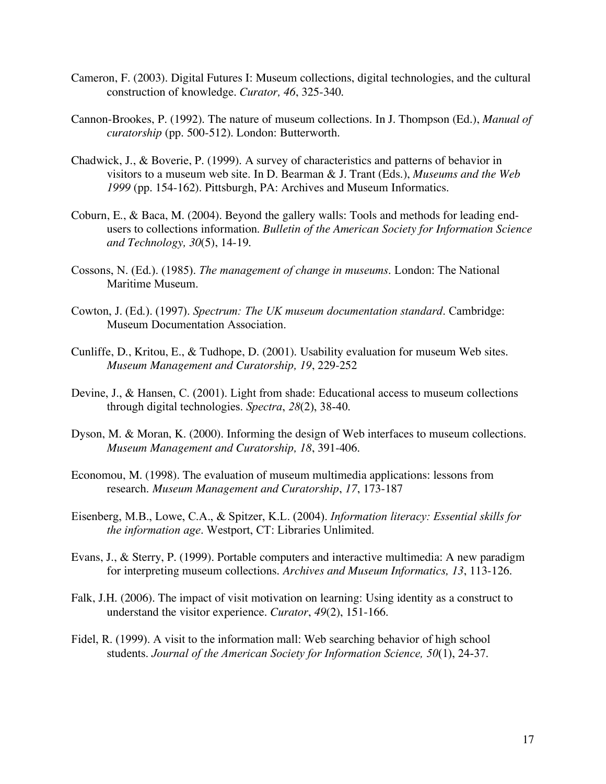- Cameron, F. (2003). Digital Futures I: Museum collections, digital technologies, and the cultural construction of knowledge. *Curator, 46*, 325-340.
- Cannon-Brookes, P. (1992). The nature of museum collections. In J. Thompson (Ed.), *Manual of curatorship* (pp. 500-512). London: Butterworth.
- Chadwick, J., & Boverie, P. (1999). A survey of characteristics and patterns of behavior in visitors to a museum web site. In D. Bearman & J. Trant (Eds.), *Museums and the Web 1999* (pp. 154-162). Pittsburgh, PA: Archives and Museum Informatics.
- Coburn, E., & Baca, M. (2004). Beyond the gallery walls: Tools and methods for leading endusers to collections information. *Bulletin of the American Society for Information Science and Technology, 30*(5), 14-19.
- Cossons, N. (Ed.). (1985). *The management of change in museums*. London: The National Maritime Museum.
- Cowton, J. (Ed.). (1997). *Spectrum: The UK museum documentation standard*. Cambridge: Museum Documentation Association.
- Cunliffe, D., Kritou, E., & Tudhope, D. (2001). Usability evaluation for museum Web sites. *Museum Management and Curatorship, 19*, 229-252
- Devine, J., & Hansen, C. (2001). Light from shade: Educational access to museum collections through digital technologies. *Spectra*, *28*(2), 38-40.
- Dyson, M. & Moran, K. (2000). Informing the design of Web interfaces to museum collections. *Museum Management and Curatorship, 18*, 391-406.
- Economou, M. (1998). The evaluation of museum multimedia applications: lessons from research. *Museum Management and Curatorship*, *17*, 173-187
- Eisenberg, M.B., Lowe, C.A., & Spitzer, K.L. (2004). *Information literacy: Essential skills for the information age*. Westport, CT: Libraries Unlimited.
- Evans, J., & Sterry, P. (1999). Portable computers and interactive multimedia: A new paradigm for interpreting museum collections. *Archives and Museum Informatics, 13*, 113-126.
- Falk, J.H. (2006). The impact of visit motivation on learning: Using identity as a construct to understand the visitor experience. *Curator*, *49*(2), 151-166.
- Fidel, R. (1999). A visit to the information mall: Web searching behavior of high school students. *Journal of the American Society for Information Science, 50*(1), 24-37.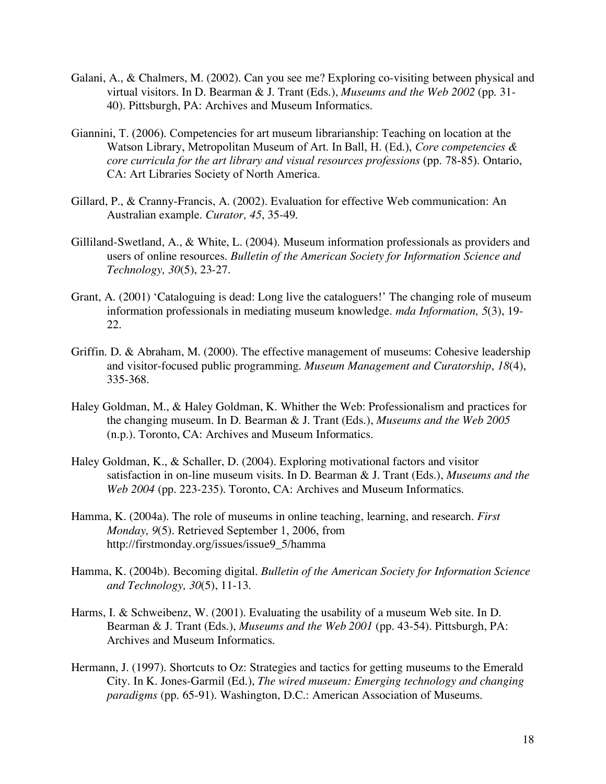- Galani, A., & Chalmers, M. (2002). Can you see me? Exploring co-visiting between physical and virtual visitors. In D. Bearman & J. Trant (Eds.), *Museums and the Web 2002* (pp. 31- 40). Pittsburgh, PA: Archives and Museum Informatics.
- Giannini, T. (2006). Competencies for art museum librarianship: Teaching on location at the Watson Library, Metropolitan Museum of Art. In Ball, H. (Ed.), *Core competencies & core curricula for the art library and visual resources professions* (pp. 78-85). Ontario, CA: Art Libraries Society of North America.
- Gillard, P., & Cranny-Francis, A. (2002). Evaluation for effective Web communication: An Australian example. *Curator, 45*, 35-49.
- Gilliland-Swetland, A., & White, L. (2004). Museum information professionals as providers and users of online resources. *Bulletin of the American Society for Information Science and Technology, 30*(5), 23-27.
- Grant, A. (2001) 'Cataloguing is dead: Long live the cataloguers!' The changing role of museum information professionals in mediating museum knowledge. *mda Information, 5*(3), 19- 22.
- Griffin. D. & Abraham, M. (2000). The effective management of museums: Cohesive leadership and visitor-focused public programming. *Museum Management and Curatorship*, *18*(4), 335-368.
- Haley Goldman, M., & Haley Goldman, K. Whither the Web: Professionalism and practices for the changing museum. In D. Bearman & J. Trant (Eds.), *Museums and the Web 2005* (n.p.). Toronto, CA: Archives and Museum Informatics.
- Haley Goldman, K., & Schaller, D. (2004). Exploring motivational factors and visitor satisfaction in on-line museum visits. In D. Bearman & J. Trant (Eds.), *Museums and the Web 2004* (pp. 223-235). Toronto, CA: Archives and Museum Informatics.
- Hamma, K. (2004a). The role of museums in online teaching, learning, and research. *First Monday, 9*(5). Retrieved September 1, 2006, from http://firstmonday.org/issues/issue9\_5/hamma
- Hamma, K. (2004b). Becoming digital. *Bulletin of the American Society for Information Science and Technology, 30*(5), 11-13.
- Harms, I. & Schweibenz, W. (2001). Evaluating the usability of a museum Web site. In D. Bearman & J. Trant (Eds.), *Museums and the Web 2001* (pp. 43-54). Pittsburgh, PA: Archives and Museum Informatics.
- Hermann, J. (1997). Shortcuts to Oz: Strategies and tactics for getting museums to the Emerald City. In K. Jones-Garmil (Ed.), *The wired museum: Emerging technology and changing paradigms* (pp. 65-91). Washington, D.C.: American Association of Museums.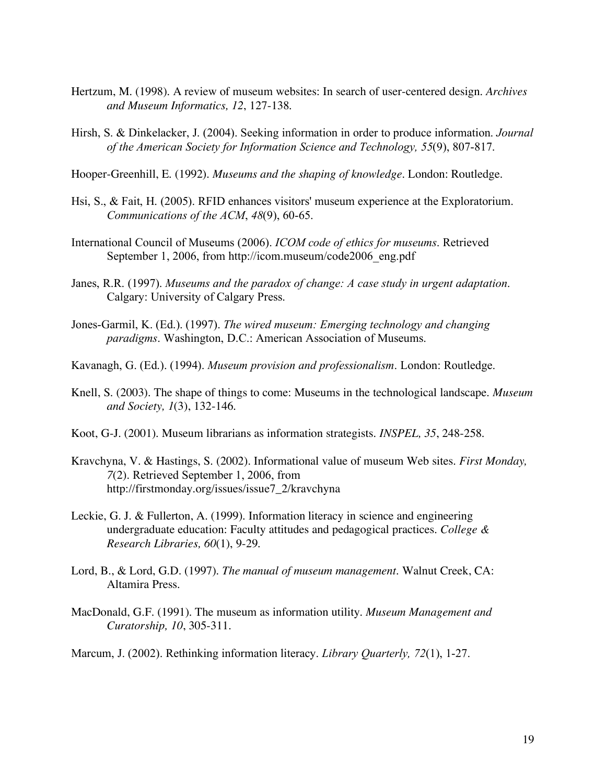- Hertzum, M. (1998). A review of museum websites: In search of user-centered design. *Archives and Museum Informatics, 12*, 127-138.
- Hirsh, S. & Dinkelacker, J. (2004). Seeking information in order to produce information. *Journal of the American Society for Information Science and Technology, 55*(9), 807-817.

Hooper-Greenhill, E. (1992). *Museums and the shaping of knowledge*. London: Routledge.

- Hsi, S., & Fait, H. (2005). RFID enhances visitors' museum experience at the Exploratorium. *Communications of the ACM*, *48*(9), 60-65.
- International Council of Museums (2006). *ICOM code of ethics for museums*. Retrieved September 1, 2006, from http://icom.museum/code2006\_eng.pdf
- Janes, R.R. (1997). *Museums and the paradox of change: A case study in urgent adaptation*. Calgary: University of Calgary Press.
- Jones-Garmil, K. (Ed.). (1997). *The wired museum: Emerging technology and changing paradigms*. Washington, D.C.: American Association of Museums.
- Kavanagh, G. (Ed.). (1994). *Museum provision and professionalism*. London: Routledge.
- Knell, S. (2003). The shape of things to come: Museums in the technological landscape. *Museum and Society, 1*(3), 132-146.
- Koot, G-J. (2001). Museum librarians as information strategists. *INSPEL, 35*, 248-258.
- Kravchyna, V. & Hastings, S. (2002). Informational value of museum Web sites. *First Monday, 7*(2). Retrieved September 1, 2006, from http://firstmonday.org/issues/issue7\_2/kravchyna
- Leckie, G. J. & Fullerton, A. (1999). Information literacy in science and engineering undergraduate education: Faculty attitudes and pedagogical practices. *College & Research Libraries, 60*(1), 9-29.
- Lord, B., & Lord, G.D. (1997). *The manual of museum management*. Walnut Creek, CA: Altamira Press.
- MacDonald, G.F. (1991). The museum as information utility. *Museum Management and Curatorship, 10*, 305-311.

Marcum, J. (2002). Rethinking information literacy. *Library Quarterly, 72*(1), 1-27.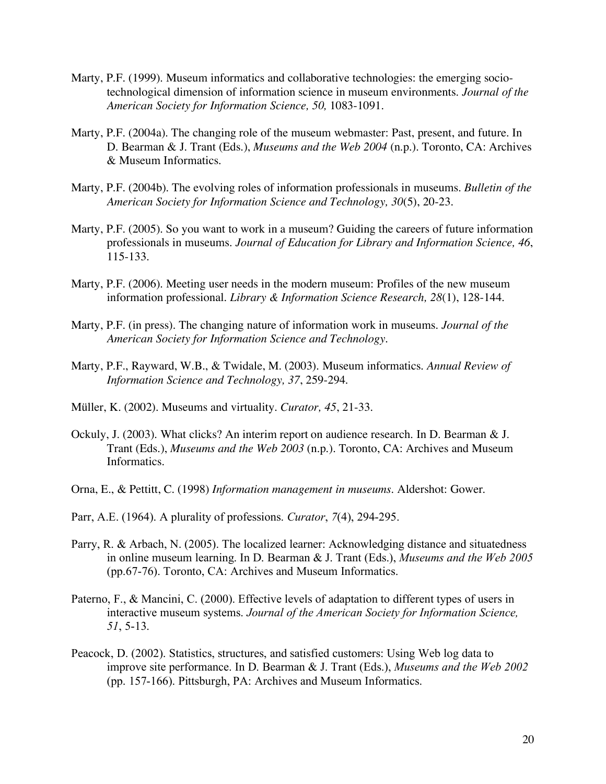- Marty, P.F. (1999). Museum informatics and collaborative technologies: the emerging sociotechnological dimension of information science in museum environments. *Journal of the American Society for Information Science, 50,* 1083-1091.
- Marty, P.F. (2004a). The changing role of the museum webmaster: Past, present, and future. In D. Bearman & J. Trant (Eds.), *Museums and the Web 2004* (n.p.). Toronto, CA: Archives & Museum Informatics.
- Marty, P.F. (2004b). The evolving roles of information professionals in museums. *Bulletin of the American Society for Information Science and Technology, 30*(5), 20-23.
- Marty, P.F. (2005). So you want to work in a museum? Guiding the careers of future information professionals in museums. *Journal of Education for Library and Information Science, 46*, 115-133.
- Marty, P.F. (2006). Meeting user needs in the modern museum: Profiles of the new museum information professional. *Library & Information Science Research, 28*(1), 128-144.
- Marty, P.F. (in press). The changing nature of information work in museums. *Journal of the American Society for Information Science and Technology*.
- Marty, P.F., Rayward, W.B., & Twidale, M. (2003). Museum informatics. *Annual Review of Information Science and Technology, 37*, 259-294.
- Müller, K. (2002). Museums and virtuality. *Curator, 45*, 21-33.
- Ockuly, J. (2003). What clicks? An interim report on audience research. In D. Bearman & J. Trant (Eds.), *Museums and the Web 2003* (n.p.). Toronto, CA: Archives and Museum Informatics.
- Orna, E., & Pettitt, C. (1998) *Information management in museums*. Aldershot: Gower.
- Parr, A.E. (1964). A plurality of professions. *Curator*, *7*(4), 294-295.
- Parry, R. & Arbach, N. (2005). The localized learner: Acknowledging distance and situatedness in online museum learning. In D. Bearman & J. Trant (Eds.), *Museums and the Web 2005* (pp.67-76). Toronto, CA: Archives and Museum Informatics.
- Paterno, F., & Mancini, C. (2000). Effective levels of adaptation to different types of users in interactive museum systems. *Journal of the American Society for Information Science, 51*, 5-13.
- Peacock, D. (2002). Statistics, structures, and satisfied customers: Using Web log data to improve site performance. In D. Bearman & J. Trant (Eds.), *Museums and the Web 2002* (pp. 157-166). Pittsburgh, PA: Archives and Museum Informatics.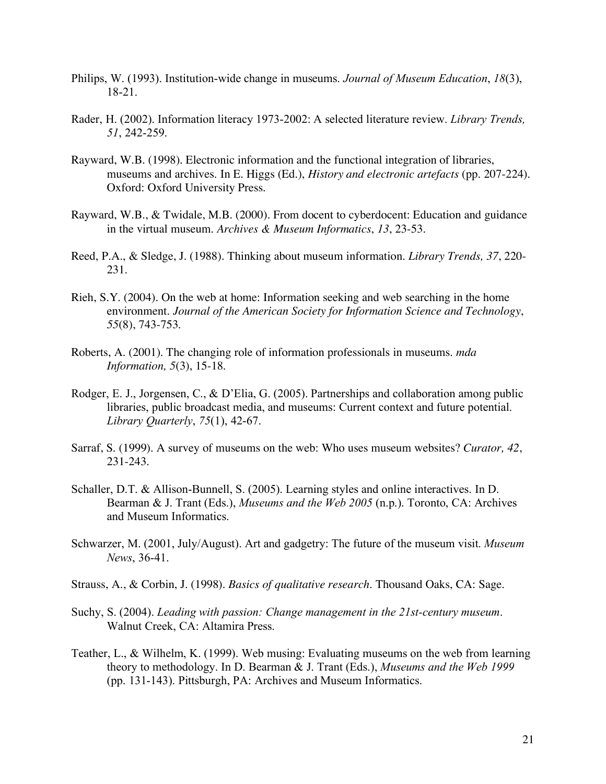- Philips, W. (1993). Institution-wide change in museums. *Journal of Museum Education*, *18*(3), 18-21.
- Rader, H. (2002). Information literacy 1973-2002: A selected literature review. *Library Trends, 51*, 242-259.
- Rayward, W.B. (1998). Electronic information and the functional integration of libraries, museums and archives. In E. Higgs (Ed.), *History and electronic artefacts* (pp. 207-224). Oxford: Oxford University Press.
- Rayward, W.B., & Twidale, M.B. (2000). From docent to cyberdocent: Education and guidance in the virtual museum. *Archives & Museum Informatics*, *13*, 23-53.
- Reed, P.A., & Sledge, J. (1988). Thinking about museum information. *Library Trends, 37*, 220- 231.
- Rieh, S.Y. (2004). On the web at home: Information seeking and web searching in the home environment. *Journal of the American Society for Information Science and Technology*, *55*(8), 743-753.
- Roberts, A. (2001). The changing role of information professionals in museums. *mda Information, 5*(3), 15-18.
- Rodger, E. J., Jorgensen, C., & D'Elia, G. (2005). Partnerships and collaboration among public libraries, public broadcast media, and museums: Current context and future potential. *Library Quarterly*, *75*(1), 42-67.
- Sarraf, S. (1999). A survey of museums on the web: Who uses museum websites? *Curator, 42*, 231-243.
- Schaller, D.T. & Allison-Bunnell, S. (2005). Learning styles and online interactives. In D. Bearman & J. Trant (Eds.), *Museums and the Web 2005* (n.p.). Toronto, CA: Archives and Museum Informatics.
- Schwarzer, M. (2001, July/August). Art and gadgetry: The future of the museum visit. *Museum News*, 36-41.
- Strauss, A., & Corbin, J. (1998). *Basics of qualitative research*. Thousand Oaks, CA: Sage.
- Suchy, S. (2004). *Leading with passion: Change management in the 21st-century museum*. Walnut Creek, CA: Altamira Press.
- Teather, L., & Wilhelm, K. (1999). Web musing: Evaluating museums on the web from learning theory to methodology. In D. Bearman & J. Trant (Eds.), *Museums and the Web 1999* (pp. 131-143). Pittsburgh, PA: Archives and Museum Informatics.